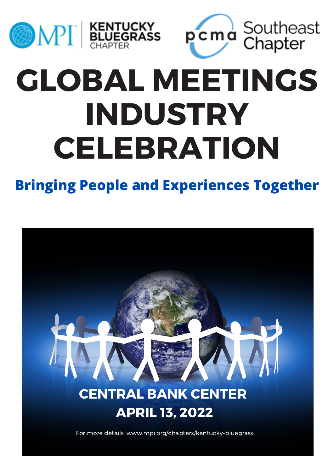



# **GLOBAL MEETINGS INDUSTRY CELEBRATION**

### **Bringing People and Experiences Together**

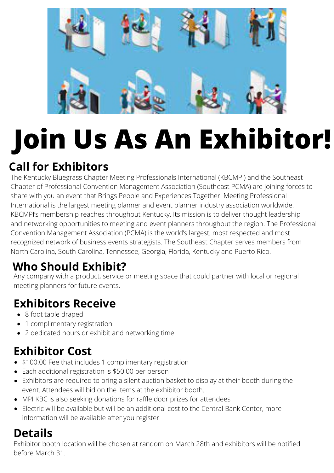

# **Join Us As An Exhibitor!**

### **Call for Exhibitors**

The Kentucky Bluegrass Chapter Meeting Professionals International (KBCMPI) and the Southeast Chapter of Professional Convention Management Association (Southeast PCMA) are joining forces to share with you an event that Brings People and Experiences Together! Meeting Professional International is the largest meeting planner and event planner industry association worldwide. KBCMPI's membership reaches throughout Kentucky. Its mission is to deliver thought leadership and networking opportunities to meeting and event planners throughout the region. The Professional Convention Management Association (PCMA) is the world's largest, most respected and most recognized network of business events strategists. The Southeast Chapter serves members from North Carolina, South Carolina, Tennessee, Georgia, Florida, Kentucky and Puerto Rico.

### **Who Should Exhibit?**

Any company with a product, service or meeting space that could partner with local or regional meeting planners for future events.

### **Exhibitors Receive**

- 8 foot table draped
- 1 complimentary registration
- 2 dedicated hours or exhibit and networking time

### **Exhibitor Cost**

- \$100.00 Fee that includes 1 complimentary registration
- Each additional registration is \$50.00 per person
- Exhibitors are required to bring a silent auction basket to display at their booth during the event. Attendees will bid on the items at the exhibitor booth.
- MPI KBC is also seeking donations for raffle door prizes for attendees
- Electric will be available but will be an additional cost to the Central Bank Center, more information will be available after you register

#### **Details**

Exhibitor booth location will be chosen at random on March 28th and exhibitors will be notified before March 31.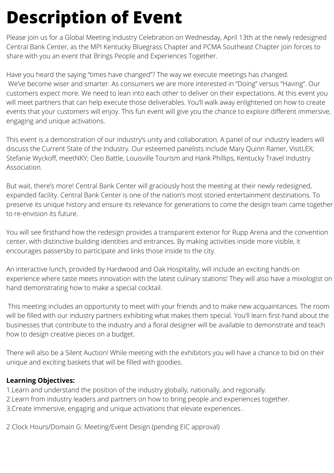# **Description of Event**

Please join us for a Global Meeting Industry Celebration on Wednesday, April 13th at the newly redesigned [Central Bank Center](https://www.centralbankcenter.com/), as the MPI Kentucky Bluegrass Chapter and PCMA Southeast Chapter join forces to share with you an event that Brings People and Experiences Together.

Have you heard the saying "times have changed"? The way we execute meetings has changed. We've become wiser and smarter. As consumers we are more interested in "Doing" versus "Having". Our customers expect more. We need to lean into each other to deliver on their expectations. At this event you will meet partners that can help execute those deliverables. You'll walk away enlightened on how to create events that your customers will enjoy. This fun event will give you the chance to explore different immersive, engaging and unique activations.

This event is a demonstration of our industry's unity and collaboration. A panel of our industry leaders will discuss the Current State of the Industry. Our esteemed panelists include Mary Quinn Ramer, VisitLEX; Stefanie Wyckoff, meetNKY; Cleo Battle, Louisville Tourism and Hank Phillips, Kentucky Travel Industry Association.

But wait, there's more! Central Bank Center will graciously host the meeting at their newly redesigned, expanded facility. Central Bank Center is one of the nation's most storied entertainment destinations. To preserve its unique history and ensure its relevance for generations to come the design team came together to re-envision its future.

You will see firsthand how the redesign provides a transparent exterior for Rupp Arena and the convention center, with distinctive building identities and entrances. By making activities inside more visible, it encourages passersby to participate and links those inside to the city.

An interactive lunch, provided by [Hardwood and Oak Hospitalit](https://www.centralbankcenter.com/convention-center/event-planners/catering-information)y, will include an exciting hands-on experience where taste meets innovation with the latest culinary stations! They will also have a mixologist on hand demonstrating how to make a special cocktail.

This meeting includes an opportunity to meet with your friends and to make new acquaintances. The room will be filled with our industry partners exhibiting what makes them special. You'll learn first-hand about the businesses that contribute to the industry and a floral designer will be available to demonstrate and teach how to design creative pieces on a budget.

There will also be a Silent Auction! While meeting with the exhibitors you will have a chance to bid on their unique and exciting baskets that will be filled with goodies.

#### **Learning Objectives:**

1.Learn and understand the position of the industry globally, nationally, and regionally.

2.Learn from industry leaders and partners on how to bring people and experiences together.

3.Create immersive, engaging and unique activations that elevate experiences .

2 Clock Hours/Domain G: Meeting/Event Design (pending EIC approval)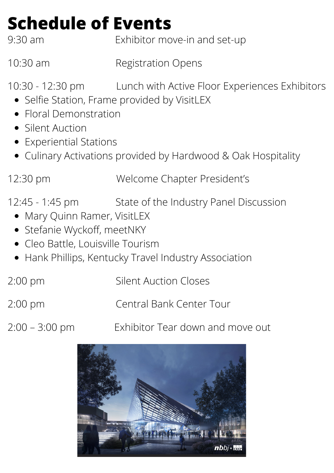# **Schedule of Events**

9:30 am Exhibitor move-in and set-up

10:30 am Registration Opens

10:30 - 12:30 pm Lunch with Active Floor Experiences Exhibitors

- Selfie Station, Frame provided by VisitLEX
- Floral Demonstration
- **Silent Auction**
- Experiential Stations
- Culinary Activations provided by Hardwood & Oak Hospitality

12:30 pm Welcome Chapter President's

- 12:45 1:45 pm State of the Industry Panel Discussion
	- Mary Quinn Ramer, VisitLEX
	- Stefanie Wyckoff, meetNKY
	- Cleo Battle, Louisville Tourism
	- Hank Phillips, Kentucky Travel Industry Association
- 2:00 pm Silent Auction Closes
- 2:00 pm Central Bank Center Tour
- 
- 2:00 3:00 pm Exhibitor Tear down and move out